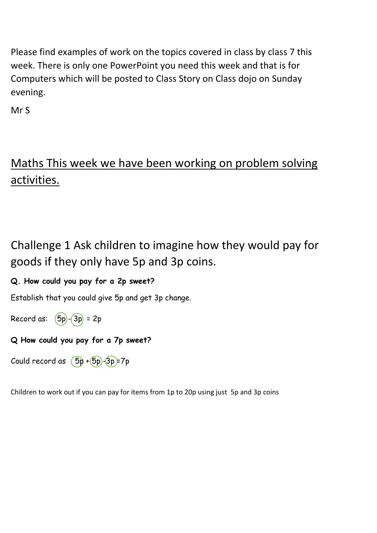Please find examples of work on the topics covered in class by class 7 this week. There is only one PowerPoint you need this week and that is for Computers which will be posted to Class Story on Class dojo on Sunday evening.

Mr S

# Maths This week we have been working on problem solving activities.

# Challenge 1 Ask children to imagine how they would pay for goods if they only have 5p and 3p coins.

#### **Q. How could you pay for a 2p sweet?**

Establish that you could give 5p and get 3p change.

Record as:  $(5p)$ - $(3p)$  = 2p

#### **Q How could you pay for a 7p sweet?**

Could record as  $(5p + 5p) - 3p = 7p$ 

Children to work out if you can pay for items from 1p to 20p using just 5p and 3p coins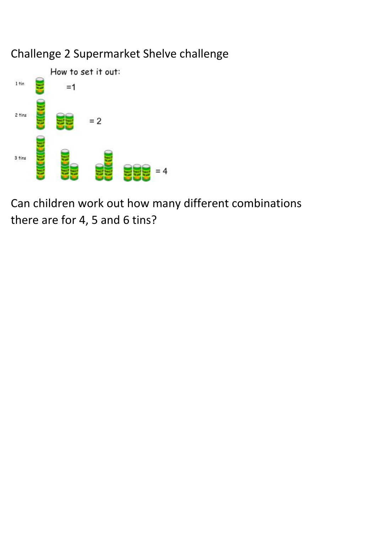### Challenge 2 Supermarket Shelve challenge



Can children work out how many different combinations there are for 4, 5 and 6 tins?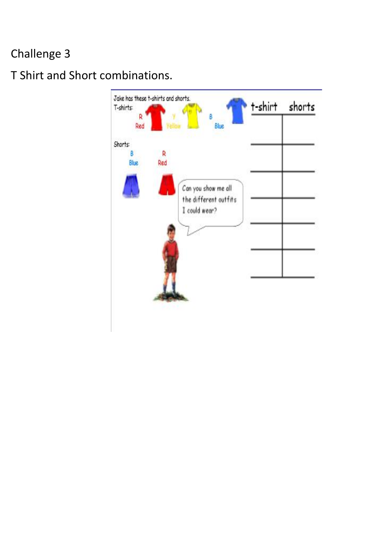# Challenge 3

## T Shirt and Short combinations.

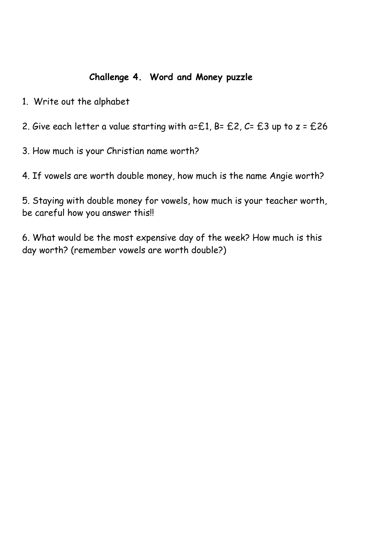#### **Challenge 4. Word and Money puzzle**

- 1. Write out the alphabet
- 2. Give each letter a value starting with  $a=£1$ ,  $B=£2$ ,  $C=£3$  up to  $z=£26$
- 3. How much is your Christian name worth?
- 4. If vowels are worth double money, how much is the name Angie worth?

5. Staying with double money for vowels, how much is your teacher worth, be careful how you answer this!!

6. What would be the most expensive day of the week? How much is this day worth? (remember vowels are worth double?)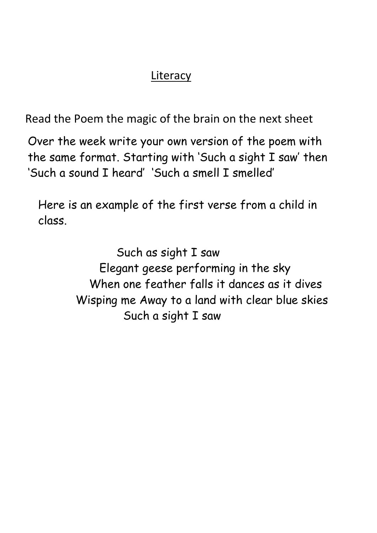## **Literacy**

Read the Poem the magic of the brain on the next sheet

 Over the week write your own version of the poem with the same format. Starting with 'Such a sight I saw' then 'Such a sound I heard' 'Such a smell I smelled'

 Here is an example of the first verse from a child in class.

> Such as sight I saw Elegant geese performing in the sky When one feather falls it dances as it dives Wisping me Away to a land with clear blue skies Such a sight I saw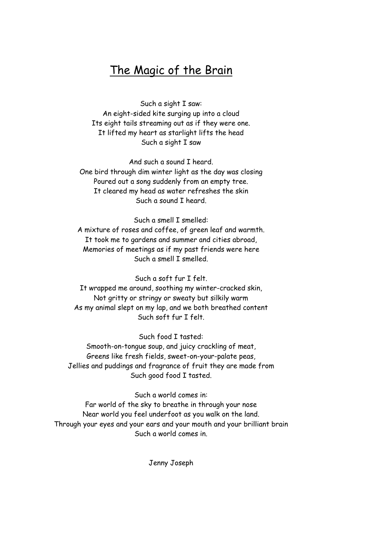#### The Magic of the Brain

Such a sight I saw: An eight-sided kite surging up into a cloud Its eight tails streaming out as if they were one. It lifted my heart as starlight lifts the head Such a sight I saw

And such a sound I heard. One bird through dim winter light as the day was closing Poured out a song suddenly from an empty tree. It cleared my head as water refreshes the skin Such a sound I heard.

Such a smell I smelled: A mixture of roses and coffee, of green leaf and warmth. It took me to gardens and summer and cities abroad, Memories of meetings as if my past friends were here Such a smell I smelled.

Such a soft fur I felt. It wrapped me around, soothing my winter-cracked skin, Not gritty or stringy or sweaty but silkily warm As my animal slept on my lap, and we both breathed content Such soft fur I felt.

Such food I tasted: Smooth-on-tongue soup, and juicy crackling of meat, Greens like fresh fields, sweet-on-your-palate peas, Jellies and puddings and fragrance of fruit they are made from Such good food I tasted.

Such a world comes in: Far world of the sky to breathe in through your nose Near world you feel underfoot as you walk on the land. Through your eyes and your ears and your mouth and your brilliant brain Such a world comes in.

Jenny Joseph